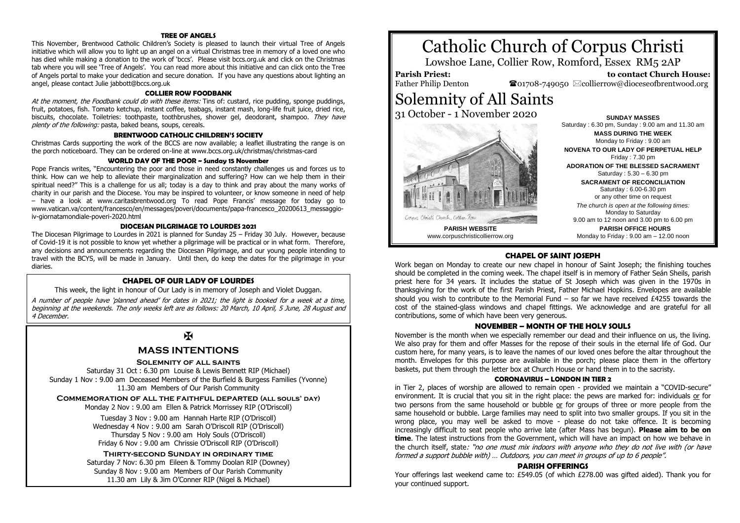### **TREE OF ANGELS**

This November, Brentwood Catholic Children's Society is pleased to launch their virtual Tree of Angels initiative which will allow you to light up an angel on a virtual Christmas tree in memory of a loved one who has died while making a donation to the work of 'bccs'. Please visit bccs.org.uk and click on the Christmas tab where you will see 'Tree of Angels'. You can read more about this initiative and can click onto the Tree of Angels portal to make your dedication and secure donation. If you have any questions about lighting an angel, please contact Julie jabbott@bccs.org.uk

#### **COLLIER ROW FOODBANK**

At the moment, the Foodbank could do with these items: Tins of: custard, rice pudding, sponge puddings, fruit, potatoes, fish. Tomato ketchup, instant coffee, teabags, instant mash, long-life fruit juice, dried rice, biscuits, chocolate. Toiletries: toothpaste, toothbrushes, shower gel, deodorant, shampoo. They have plenty of the following: pasta, baked beans, soups, cereals.

#### **BRENTWOOD CATHOLIC CHILDREN'S SOCIETY**

Christmas Cards supporting the work of the BCCS are now available; a leaflet illustrating the range is on the porch noticeboard. They can be ordered on-line at www.bccs.org.uk/christmas/christmas-card

#### **WORLD DAY OF THE POOR ~ Sunday 15 November**

Pope Francis writes, "Encountering the poor and those in need constantly challenges us and forces us to think. How can we help to alleviate their marginalization and suffering? How can we help them in their spiritual need?" This is a challenge for us all; today is a day to think and pray about the many works of charity in our parish and the Diocese. You may be inspired to volunteer, or know someone in need of help – have a look at www.caritasbrentwood.org To read Pope Francis' message for today go to www.vatican.va/content/francesco/en/messages/poveri/documents/papa-francesco\_20200613\_messaggioiv-giornatamondiale-poveri-2020.html

#### **DIOCESAN PILGRIMAGE TO LOURDES 2021**

The Diocesan Pilgrimage to Lourdes in 2021 is planned for Sunday 25 – Friday 30 July. However, because of Covid-19 it is not possible to know yet whether a pilgrimage will be practical or in what form. Therefore, any decisions and announcements regarding the Diocesan Pilgrimage, and our young people intending to travel with the BCYS, will be made in January. Until then, do keep the dates for the pilgrimage in your diaries.

#### **CHAPEL OF OUR LADY OF LOURDES**

This week, the light in honour of Our Lady is in memory of Joseph and Violet Duggan.

A number of people have 'planned ahead' for dates in 2021; the light is booked for a week at a time, beginning at the weekends. The only weeks left are as follows: 20 March, 10 April, 5 June, 28 August and 4 December.

# $\overline{\mathbf{X}}$

# **MASS INTENTIONS**

#### **Solemnity of all saints**

Saturday 31 Oct : 6.30 pm Louise & Lewis Bennett RIP (Michael) Sunday 1 Nov : 9.00 am Deceased Members of the Burfield & Burgess Families (Yvonne) 11.30 am Members of Our Parish Community

#### **Commemoration of all the faithful departed (all souls' day)**

Monday 2 Nov : 9.00 am Ellen & Patrick Morrissey RIP (O'Driscoll)

Tuesday 3 Nov : 9.00 am Hannah Harte RIP (O'Driscoll) Wednesday 4 Nov : 9.00 am Sarah O'Driscoll RIP (O'Driscoll) Thursday 5 Nov : 9.00 am Holy Souls (O'Driscoll) Friday 6 Nov : 9.00 am Chrissie O'Driscoll RIP (O'Driscoll)

#### **Thirty-second Sunday in ordinary time**

Saturday 7 Nov: 6.30 pm Eileen & Tommy Doolan RIP (Downey) Sunday 8 Nov : 9.00 am Members of Our Parish Community 11.30 am Lily & Jim O'Conner RIP (Nigel & Michael)

# Catholic Church of Corpus Christi

Lowshoe Lane, Collier Row, Romford, Essex RM5 2AP

**Parish Priest:** Father Philip Denton

 **to contact Church House:**  $\bullet$ 01708-749050  $\boxtimes$ collierrow@dioceseofbrentwood.org

# Solemnity of All Saints

31 October - 1 November 2020



www.corpuschristicollierrow.org

Saturday : 6.30 pm, Sunday : 9.00 am and 11.30 am **MASS DURING THE WEEK** Monday to Friday : 9.00 am **NOVENA TO OUR LADY OF PERPETUAL HELP** Friday : 7.30 pm **ADORATION OF THE BLESSED SACRAMENT** Saturday : 5.30 – 6.30 pm **SACRAMENT OF RECONCILIATION** Saturday : 6.00-6.30 pm or any other time on request *The church is open at the following times:* Monday to Saturday 9.00 am to 12 noon and 3.00 pm to 6.00 pm

**SUNDAY MASSES**

**PARISH OFFICE HOURS** Monday to Friday : 9.00 am – 12.00 noon

# **CHAPEL OF SAINT JOSEPH**

Work began on Monday to create our new chapel in honour of Saint Joseph; the finishing touches should be completed in the coming week. The chapel itself is in memory of Father Seán Sheils, parish priest here for 34 years. It includes the statue of St Joseph which was given in the 1970s in thanksgiving for the work of the first Parish Priest, Father Michael Hopkins. Envelopes are available should you wish to contribute to the Memorial Fund – so far we have received £4255 towards the cost of the stained-glass windows and chapel fittings. We acknowledge and are grateful for all contributions, some of which have been very generous.

#### **NOVEMBER – MONTH OF THE HOLY SOULS**

November is the month when we especially remember our dead and their influence on us, the living. We also pray for them and offer Masses for the repose of their souls in the eternal life of God. Our custom here, for many years, is to leave the names of our loved ones before the altar throughout the month. Envelopes for this purpose are available in the porch; please place them in the offertory baskets, put them through the letter box at Church House or hand them in to the sacristy.

#### **CORONAVIRUS – LONDON IN TIER 2**

in Tier 2, places of worship are allowed to remain open - provided we maintain a "COVID-secure" environment. It is crucial that you sit in the right place: the pews are marked for: individuals or for two persons from the same household or bubble or for groups of three or more people from the same household or bubble. Large families may need to split into two smaller groups. If you sit in the wrong place, you may well be asked to move - please do not take offence. It is becoming increasingly difficult to seat people who arrive late (after Mass has begun). **Please aim to be on time**. The latest instructions from the Government, which will have an impact on how we behave in the church itself, state: "no one must mix indoors with anyone who they do not live with (or have formed a support bubble with) … Outdoors, you can meet in groups of up to 6 people".

#### **PARISH OFFERINGS**

Your offerings last weekend came to: £549.05 (of which £278.00 was gifted aided). Thank you for your continued support.